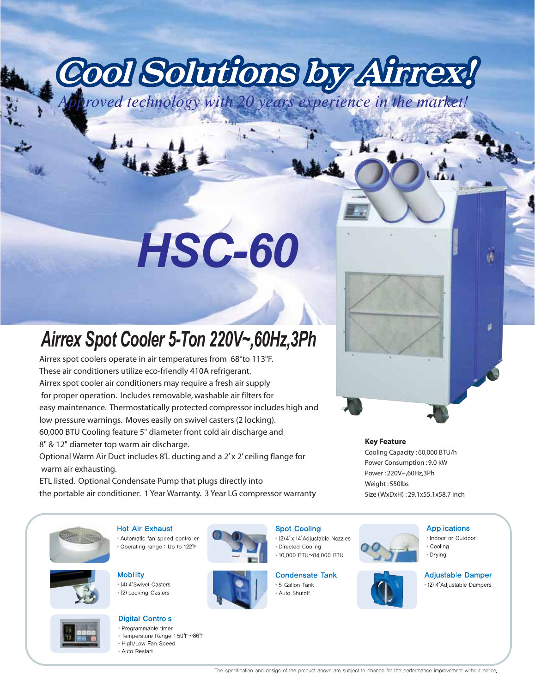# Cool Solutions by Ainnex!

## *HSC-60*

### *Airrex Spot Cooler 5-Ton 220V~,60Hz,3Ph*

Airrex spot coolers operate in air temperatures from 68°to 113°F. These air conditioners utilize eco-friendly 410A refrigerant. Airrex spot cooler air conditioners may require a fresh air supply for proper operation. Includes removable, washable air filters for easy maintenance. Thermostatically protected compressor includes high and low pressure warnings. Moves easily on swivel casters (2 locking). 60,000 BTU Cooling feature 5" diameter front cold air discharge and 8" & 12" diameter top warm air discharge. Optional Warm Air Duct includes 8'L ducting and a 2' x 2' ceiling flange for

 warm air exhausting. ETL listed. Optional Condensate Pump that plugs directly into

the portable air conditioner. 1 Year Warranty. 3 Year LG compressor warranty

#### **Key Feature**

Cooling Capacity : 60,000 BTU/h Power Consumption : 9.0 kW Power : 220V~,60Hz,3Ph Weight : 550lbs Size (WxDxH) : 29.1x55.1x58.7 inch



**Mobility** \* (4) 4"Swivel Casters • (2) Locking Casters

#### **Digital Controls**

**Hot Air Exhaust** 

\* Automatic fan speed controller

\* Operating range: Up to 122°F

- · Programmable timer • Temperature Range: 50°F~86°F
- High/Low Fan Speed
- 



#### **Spot Cooling**

\* (2) 4" x 14" Adjustable Nozzles · Directed Cooling • 10,000 BTU~84,000 BTU

#### **Condensate Tank**

\* 5 Gallon Tank • Auto Shutoff

#### **Applications**

- Indoor or Outdoor • Coolina
- Drvina

#### **Adjustable Damper**

u

• (2) 4"Adjustable Dampers

• Auto Restart